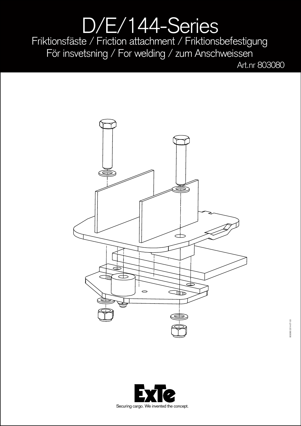## D/E/144-Series Friktionsfäste / Friction attachment / Friktionsbefestigung För insvetsning / For welding / zum Anschweissen

Art.nr 803080